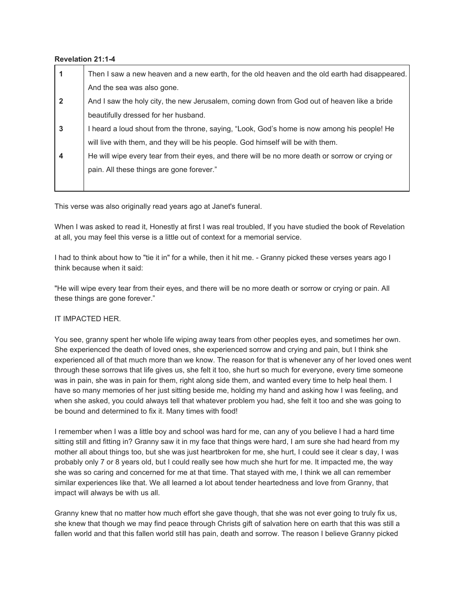## **Revelation 21:14**

|                | Then I saw a new heaven and a new earth, for the old heaven and the old earth had disappeared.  |
|----------------|-------------------------------------------------------------------------------------------------|
|                | And the sea was also gone.                                                                      |
| $\overline{2}$ | And I saw the holy city, the new Jerusalem, coming down from God out of heaven like a bride     |
|                | beautifully dressed for her husband.                                                            |
| 3              | I heard a loud shout from the throne, saying, "Look, God's home is now among his people! He     |
|                | will live with them, and they will be his people. God himself will be with them.                |
| 4              | He will wipe every tear from their eyes, and there will be no more death or sorrow or crying or |
|                | pain. All these things are gone forever."                                                       |
|                |                                                                                                 |

This verse was also originally read years ago at Janet's funeral.

When I was asked to read it, Honestly at first I was real troubled, If you have studied the book of Revelation at all, you may feel this verse is a little out of context for a memorial service.

I had to think about how to "tie it in" for a while, then it hit me. - Granny picked these verses years ago I think because when it said:

"He will wipe every tear from their eyes, and there will be no more death or sorrow or crying or pain. All these things are gone forever."

## IT IMPACTED HER.

You see, granny spent her whole life wiping away tears from other peoples eyes, and sometimes her own. She experienced the death of loved ones, she experienced sorrow and crying and pain, but I think she experienced all of that much more than we know. The reason for that is whenever any of her loved ones went through these sorrows that life gives us, she felt it too, she hurt so much for everyone, every time someone was in pain, she was in pain for them, right along side them, and wanted every time to help heal them. I have so many memories of her just sitting beside me, holding my hand and asking how I was feeling, and when she asked, you could always tell that whatever problem you had, she felt it too and she was going to be bound and determined to fix it. Many times with food!

I remember when I was a little boy and school was hard for me, can any of you believe I had a hard time sitting still and fitting in? Granny saw it in my face that things were hard, I am sure she had heard from my mother all about things too, but she was just heartbroken for me, she hurt, I could see it clear s day, I was probably only 7 or 8 years old, but I could really see how much she hurt for me. It impacted me, the way she was so caring and concerned for me at that time. That stayed with me, I think we all can remember similar experiences like that. We all learned a lot about tender heartedness and love from Granny, that impact will always be with us all.

Granny knew that no matter how much effort she gave though, that she was not ever going to truly fix us, she knew that though we may find peace through Christs gift of salvation here on earth that this was still a fallen world and that this fallen world still has pain, death and sorrow. The reason I believe Granny picked